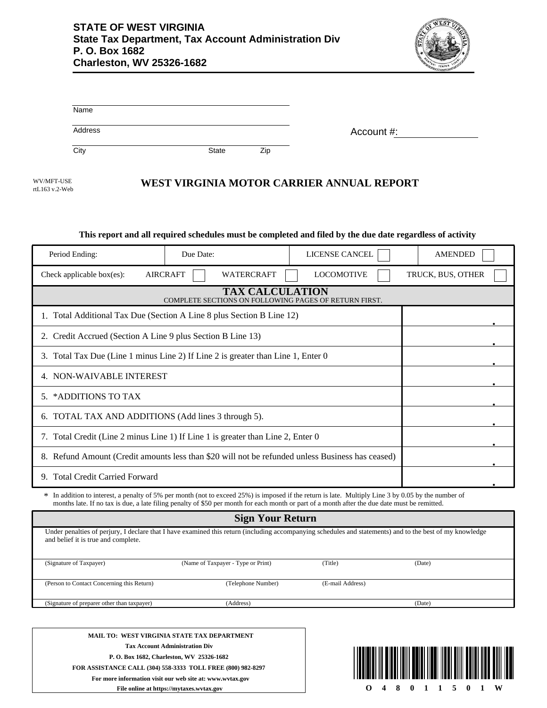

| Name    |       |     |            |
|---------|-------|-----|------------|
| Address |       |     | Account #: |
| City    | State | Zip |            |

WV/MFT-USE rtL163 v.2-Web

## **WEST VIRGINIA MOTOR CARRIER ANNUAL REPORT**

## **This report and all required schedules must be completed and filed by the due date regardless of activity**

| Period Ending:                                                                                                                                                                                                                                                                                       | Due Date:         | LICENSE CANCEL    |  |  |  |  |  |
|------------------------------------------------------------------------------------------------------------------------------------------------------------------------------------------------------------------------------------------------------------------------------------------------------|-------------------|-------------------|--|--|--|--|--|
| <b>AIRCRAFT</b><br>Check applicable box(es):                                                                                                                                                                                                                                                         | <b>LOCOMOTIVE</b> | TRUCK, BUS, OTHER |  |  |  |  |  |
| <b>TAX CALCULATION</b><br>COMPLETE SECTIONS ON FOLLOWING PAGES OF RETURN FIRST.                                                                                                                                                                                                                      |                   |                   |  |  |  |  |  |
| 1. Total Additional Tax Due (Section A Line 8 plus Section B Line 12)                                                                                                                                                                                                                                |                   |                   |  |  |  |  |  |
| 2. Credit Accrued (Section A Line 9 plus Section B Line 13)                                                                                                                                                                                                                                          |                   |                   |  |  |  |  |  |
| 3. Total Tax Due (Line 1 minus Line 2) If Line 2 is greater than Line 1, Enter 0                                                                                                                                                                                                                     |                   |                   |  |  |  |  |  |
| 4. NON-WAIVABLE INTEREST                                                                                                                                                                                                                                                                             |                   |                   |  |  |  |  |  |
| 5. *ADDITIONS TO TAX                                                                                                                                                                                                                                                                                 |                   |                   |  |  |  |  |  |
| 6. TOTAL TAX AND ADDITIONS (Add lines 3 through 5).                                                                                                                                                                                                                                                  |                   |                   |  |  |  |  |  |
| 7. Total Credit (Line 2 minus Line 1) If Line 1 is greater than Line 2, Enter 0                                                                                                                                                                                                                      |                   |                   |  |  |  |  |  |
| 8. Refund Amount (Credit amounts less than \$20 will not be refunded unless Business has ceased)                                                                                                                                                                                                     |                   |                   |  |  |  |  |  |
| 9. Total Credit Carried Forward                                                                                                                                                                                                                                                                      |                   |                   |  |  |  |  |  |
| * In addition to interest, a penalty of 5% per month (not to exceed 25%) is imposed if the return is late. Multiply Line 3 by 0.05 by the number of<br>months late. If no tax is due, a late filing penalty of \$50 per month for each month or part of a month after the due date must be remitted. |                   |                   |  |  |  |  |  |

| <b>Sign Your Return</b>                     |                                                                                                                                                          |                  |        |  |  |  |
|---------------------------------------------|----------------------------------------------------------------------------------------------------------------------------------------------------------|------------------|--------|--|--|--|
| and belief it is true and complete.         | Under penalties of perjury, I declare that I have examined this return (including accompanying schedules and statements) and to the best of my knowledge |                  |        |  |  |  |
| (Signature of Taxpayer)                     | (Name of Taxpayer - Type or Print)                                                                                                                       | (Title)          | (Date) |  |  |  |
| (Person to Contact Concerning this Return)  | (Telephone Number)                                                                                                                                       | (E-mail Address) |        |  |  |  |
| (Signature of preparer other than taxpayer) | (Address)                                                                                                                                                |                  | (Date) |  |  |  |
|                                             |                                                                                                                                                          |                  |        |  |  |  |

**MAIL TO: WEST VIRGINIA STATE TAX DEPARTMENT Tax Account Administration Div P. O. Box 1682, Charleston, WV 25326-1682 FOR ASSISTANCE CALL (304) 558-3333 TOLL FREE (800) 982-8297 For more information visit our web site at: www.wvtax.gov File online at https://mytaxes.wvtax.gov**